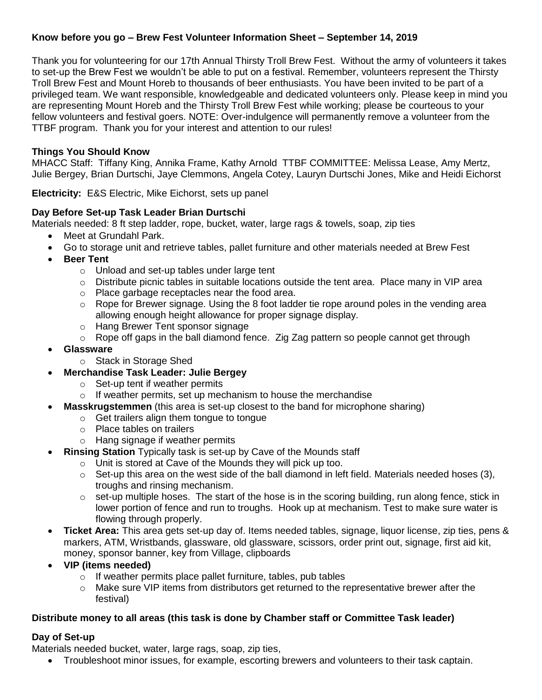# **Know before you go – Brew Fest Volunteer Information Sheet – September 14, 2019**

Thank you for volunteering for our 17th Annual Thirsty Troll Brew Fest. Without the army of volunteers it takes to set-up the Brew Fest we wouldn't be able to put on a festival. Remember, volunteers represent the Thirsty Troll Brew Fest and Mount Horeb to thousands of beer enthusiasts. You have been invited to be part of a privileged team. We want responsible, knowledgeable and dedicated volunteers only. Please keep in mind you are representing Mount Horeb and the Thirsty Troll Brew Fest while working; please be courteous to your fellow volunteers and festival goers. NOTE: Over-indulgence will permanently remove a volunteer from the TTBF program. Thank you for your interest and attention to our rules!

# **Things You Should Know**

MHACC Staff: Tiffany King, Annika Frame, Kathy Arnold TTBF COMMITTEE: Melissa Lease, Amy Mertz, Julie Bergey, Brian Durtschi, Jaye Clemmons, Angela Cotey, Lauryn Durtschi Jones, Mike and Heidi Eichorst

**Electricity:** E&S Electric, Mike Eichorst, sets up panel

## **Day Before Set-up Task Leader Brian Durtschi**

Materials needed: 8 ft step ladder, rope, bucket, water, large rags & towels, soap, zip ties

- Meet at Grundahl Park.
- Go to storage unit and retrieve tables, pallet furniture and other materials needed at Brew Fest
- **Beer Tent**
	- o Unload and set-up tables under large tent
	- $\circ$  Distribute picnic tables in suitable locations outside the tent area. Place many in VIP area
	- o Place garbage receptacles near the food area.
	- $\circ$  Rope for Brewer signage. Using the 8 foot ladder tie rope around poles in the vending area allowing enough height allowance for proper signage display.
	- o Hang Brewer Tent sponsor signage
	- o Rope off gaps in the ball diamond fence. Zig Zag pattern so people cannot get through
- **Glassware**
	- o Stack in Storage Shed
- **Merchandise Task Leader: Julie Bergey**
	- o Set-up tent if weather permits
	- $\circ$  If weather permits, set up mechanism to house the merchandise
	- **Masskrugstemmen** (this area is set-up closest to the band for microphone sharing)
		- o Get trailers align them tongue to tongue
		- o Place tables on trailers
		- o Hang signage if weather permits
- **Rinsing Station** Typically task is set-up by Cave of the Mounds staff
	- o Unit is stored at Cave of the Mounds they will pick up too.
	- $\circ$  Set-up this area on the west side of the ball diamond in left field. Materials needed hoses (3), troughs and rinsing mechanism.
	- $\circ$  set-up multiple hoses. The start of the hose is in the scoring building, run along fence, stick in lower portion of fence and run to troughs. Hook up at mechanism. Test to make sure water is flowing through properly.
- **Ticket Area:** This area gets set-up day of. Items needed tables, signage, liquor license, zip ties, pens & markers, ATM, Wristbands, glassware, old glassware, scissors, order print out, signage, first aid kit, money, sponsor banner, key from Village, clipboards
- **VIP (items needed)**
	- o If weather permits place pallet furniture, tables, pub tables
	- o Make sure VIP items from distributors get returned to the representative brewer after the festival)

## **Distribute money to all areas (this task is done by Chamber staff or Committee Task leader)**

## **Day of Set-up**

Materials needed bucket, water, large rags, soap, zip ties,

Troubleshoot minor issues, for example, escorting brewers and volunteers to their task captain.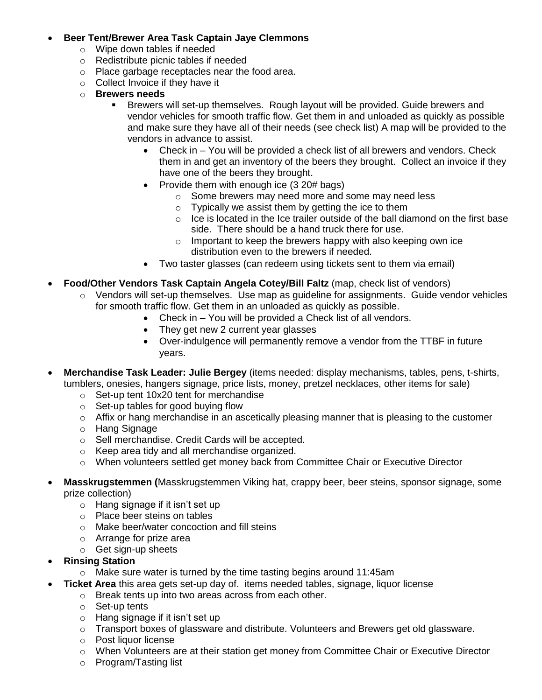# **Beer Tent/Brewer Area Task Captain Jaye Clemmons**

- o Wipe down tables if needed
- o Redistribute picnic tables if needed
- o Place garbage receptacles near the food area.
- o Collect Invoice if they have it
- o **Brewers needs**
	- Brewers will set-up themselves. Rough layout will be provided. Guide brewers and vendor vehicles for smooth traffic flow. Get them in and unloaded as quickly as possible and make sure they have all of their needs (see check list) A map will be provided to the vendors in advance to assist.
		- Check in You will be provided a check list of all brewers and vendors. Check them in and get an inventory of the beers they brought. Collect an invoice if they have one of the beers they brought.
		- Provide them with enough ice (3 20# bags)
			- o Some brewers may need more and some may need less
			- $\circ$  Typically we assist them by getting the ice to them
			- $\circ$  Ice is located in the Ice trailer outside of the ball diamond on the first base side. There should be a hand truck there for use.
			- $\circ$  Important to keep the brewers happy with also keeping own ice distribution even to the brewers if needed.
		- Two taster glasses (can redeem using tickets sent to them via email)
- **Food/Other Vendors Task Captain Angela Cotey/Bill Faltz** (map, check list of vendors)
	- $\circ$  Vendors will set-up themselves. Use map as quideline for assignments. Guide vendor vehicles for smooth traffic flow. Get them in an unloaded as quickly as possible.
		- Check in You will be provided a Check list of all vendors.
		- They get new 2 current year glasses
		- Over-indulgence will permanently remove a vendor from the TTBF in future years.
- **Merchandise Task Leader: Julie Bergey** (items needed: display mechanisms, tables, pens, t-shirts, tumblers, onesies, hangers signage, price lists, money, pretzel necklaces, other items for sale)
	- o Set-up tent 10x20 tent for merchandise
	- o Set-up tables for good buying flow
	- $\circ$  Affix or hang merchandise in an ascetically pleasing manner that is pleasing to the customer
	- o Hang Signage
	- o Sell merchandise. Credit Cards will be accepted.
	- o Keep area tidy and all merchandise organized.
	- o When volunteers settled get money back from Committee Chair or Executive Director
- **Masskrugstemmen (**Masskrugstemmen Viking hat, crappy beer, beer steins, sponsor signage, some prize collection)
	- o Hang signage if it isn't set up
	- o Place beer steins on tables
	- o Make beer/water concoction and fill steins
	- o Arrange for prize area
	- o Get sign-up sheets
- **Rinsing Station** 
	- o Make sure water is turned by the time tasting begins around 11:45am
- **Ticket Area** this area gets set-up day of. items needed tables, signage, liquor license
	- o Break tents up into two areas across from each other.
	- o Set-up tents
	- o Hang signage if it isn't set up
	- $\circ$  Transport boxes of glassware and distribute. Volunteers and Brewers get old glassware.
	- o Post liquor license
	- o When Volunteers are at their station get money from Committee Chair or Executive Director
	- o Program/Tasting list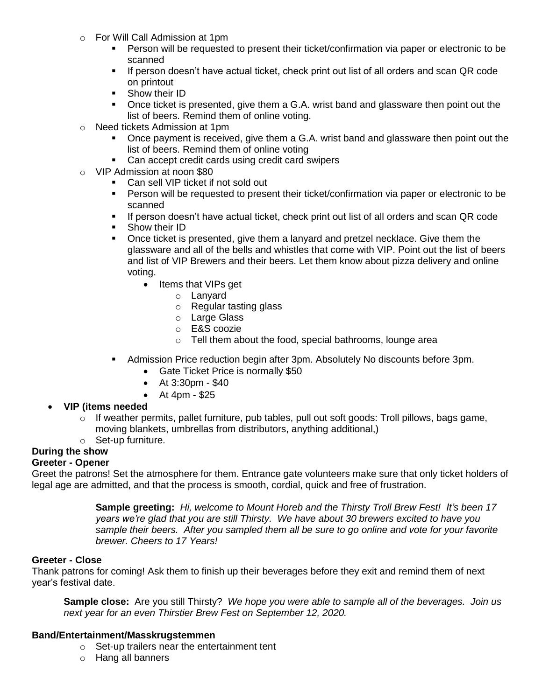- o For Will Call Admission at 1pm
	- Person will be requested to present their ticket/confirmation via paper or electronic to be scanned
	- **If person doesn't have actual ticket, check print out list of all orders and scan QR code** on printout
	- **Show their ID**
	- Once ticket is presented, give them a G.A. wrist band and glassware then point out the list of beers. Remind them of online voting.
- o Need tickets Admission at 1pm
	- Once payment is received, give them a G.A. wrist band and glassware then point out the list of beers. Remind them of online voting
	- Can accept credit cards using credit card swipers
- o VIP Admission at noon \$80
	- **Can sell VIP ticket if not sold out**
	- **Person will be requested to present their ticket/confirmation via paper or electronic to be** scanned
	- **If person doesn't have actual ticket, check print out list of all orders and scan QR code**
	- **Show their ID**
	- Once ticket is presented, give them a lanyard and pretzel necklace. Give them the glassware and all of the bells and whistles that come with VIP. Point out the list of beers and list of VIP Brewers and their beers. Let them know about pizza delivery and online voting.
		- Items that VIPs get
			- o Lanyard
			- o Regular tasting glass
			- o Large Glass
			- o E&S coozie
			- o Tell them about the food, special bathrooms, lounge area
	- Admission Price reduction begin after 3pm. Absolutely No discounts before 3pm.
		- Gate Ticket Price is normally \$50
		- At 3:30pm \$40
		- $\bullet$  At 4pm \$25

## **VIP (items needed**

- o If weather permits, pallet furniture, pub tables, pull out soft goods: Troll pillows, bags game, moving blankets, umbrellas from distributors, anything additional,)
- o Set-up furniture.

# **During the show**

# **Greeter - Opener**

Greet the patrons! Set the atmosphere for them. Entrance gate volunteers make sure that only ticket holders of legal age are admitted, and that the process is smooth, cordial, quick and free of frustration.

> **Sample greeting:** *Hi, welcome to Mount Horeb and the Thirsty Troll Brew Fest! It's been 17 years we're glad that you are still Thirsty. We have about 30 brewers excited to have you sample their beers. After you sampled them all be sure to go online and vote for your favorite brewer. Cheers to 17 Years!*

# **Greeter - Close**

Thank patrons for coming! Ask them to finish up their beverages before they exit and remind them of next year's festival date.

**Sample close:** Are you still Thirsty? *We hope you were able to sample all of the beverages. Join us next year for an even Thirstier Brew Fest on September 12, 2020.* 

## **Band/Entertainment/Masskrugstemmen**

- o Set-up trailers near the entertainment tent
- o Hang all banners